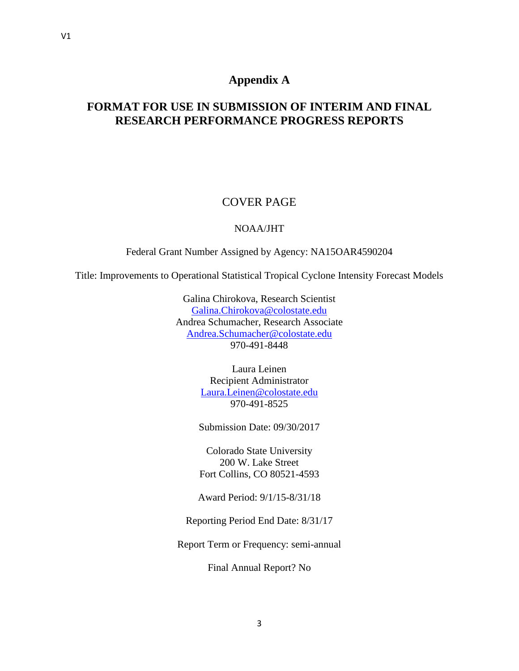# **Appendix A**

# **FORMAT FOR USE IN SUBMISSION OF INTERIM AND FINAL RESEARCH PERFORMANCE PROGRESS REPORTS**

# COVER PAGE

## NOAA/JHT

Federal Grant Number Assigned by Agency: NA15OAR4590204

Title: Improvements to Operational Statistical Tropical Cyclone Intensity Forecast Models

Galina Chirokova, Research Scientist [Galina.Chirokova@colostate.edu](mailto:Galina.Chirokova@colostate.edu) Andrea Schumacher, Research Associate [Andrea.Schumacher@colostate.edu](mailto:Andrea.Schumacher@colostate.edu) 970-491-8448

> Laura Leinen Recipient Administrator [Laura.Leinen@colostate.edu](mailto:Laura.Leinen@colostate.edu) 970-491-8525

Submission Date: 09/30/2017

Colorado State University 200 W. Lake Street Fort Collins, CO 80521-4593

Award Period: 9/1/15-8/31/18

Reporting Period End Date: 8/31/17

Report Term or Frequency: semi-annual

Final Annual Report? No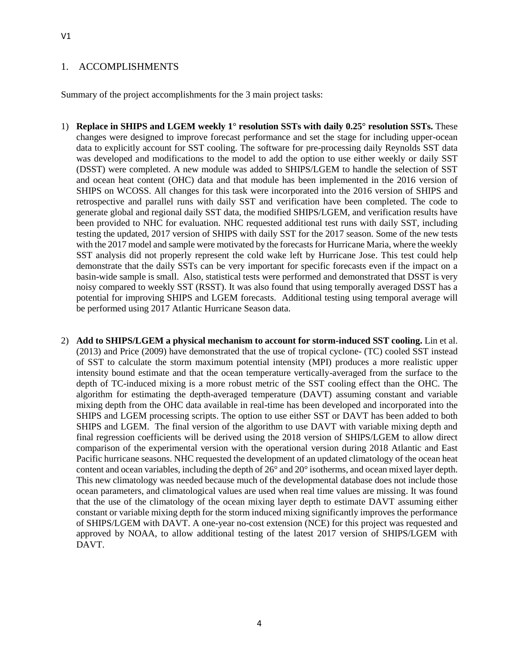#### 1. ACCOMPLISHMENTS

Summary of the project accomplishments for the 3 main project tasks:

- 1) **Replace in SHIPS and LGEM weekly 1° resolution SSTs with daily 0.25° resolution SSTs.** These changes were designed to improve forecast performance and set the stage for including upper-ocean data to explicitly account for SST cooling. The software for pre-processing daily Reynolds SST data was developed and modifications to the model to add the option to use either weekly or daily SST (DSST) were completed. A new module was added to SHIPS/LGEM to handle the selection of SST and ocean heat content (OHC) data and that module has been implemented in the 2016 version of SHIPS on WCOSS. All changes for this task were incorporated into the 2016 version of SHIPS and retrospective and parallel runs with daily SST and verification have been completed. The code to generate global and regional daily SST data, the modified SHIPS/LGEM, and verification results have been provided to NHC for evaluation. NHC requested additional test runs with daily SST, including testing the updated, 2017 version of SHIPS with daily SST for the 2017 season. Some of the new tests with the 2017 model and sample were motivated by the forecasts for Hurricane Maria, where the weekly SST analysis did not properly represent the cold wake left by Hurricane Jose. This test could help demonstrate that the daily SSTs can be very important for specific forecasts even if the impact on a basin-wide sample is small. Also, statistical tests were performed and demonstrated that DSST is very noisy compared to weekly SST (RSST). It was also found that using temporally averaged DSST has a potential for improving SHIPS and LGEM forecasts. Additional testing using temporal average will be performed using 2017 Atlantic Hurricane Season data.
- 2) **Add to SHIPS/LGEM a physical mechanism to account for storm-induced SST cooling.** Lin et al. (2013) and Price (2009) have demonstrated that the use of tropical cyclone- (TC) cooled SST instead of SST to calculate the storm maximum potential intensity (MPI) produces a more realistic upper intensity bound estimate and that the ocean temperature vertically-averaged from the surface to the depth of TC-induced mixing is a more robust metric of the SST cooling effect than the OHC. The algorithm for estimating the depth-averaged temperature (DAVT) assuming constant and variable mixing depth from the OHC data available in real-time has been developed and incorporated into the SHIPS and LGEM processing scripts. The option to use either SST or DAVT has been added to both SHIPS and LGEM. The final version of the algorithm to use DAVT with variable mixing depth and final regression coefficients will be derived using the 2018 version of SHIPS/LGEM to allow direct comparison of the experimental version with the operational version during 2018 Atlantic and East Pacific hurricane seasons. NHC requested the development of an updated climatology of the ocean heat content and ocean variables, including the depth of 26° and 20° isotherms, and ocean mixed layer depth. This new climatology was needed because much of the developmental database does not include those ocean parameters, and climatological values are used when real time values are missing. It was found that the use of the climatology of the ocean mixing layer depth to estimate DAVT assuming either constant or variable mixing depth for the storm induced mixing significantly improves the performance of SHIPS/LGEM with DAVT. A one-year no-cost extension (NCE) for this project was requested and approved by NOAA, to allow additional testing of the latest 2017 version of SHIPS/LGEM with DAVT.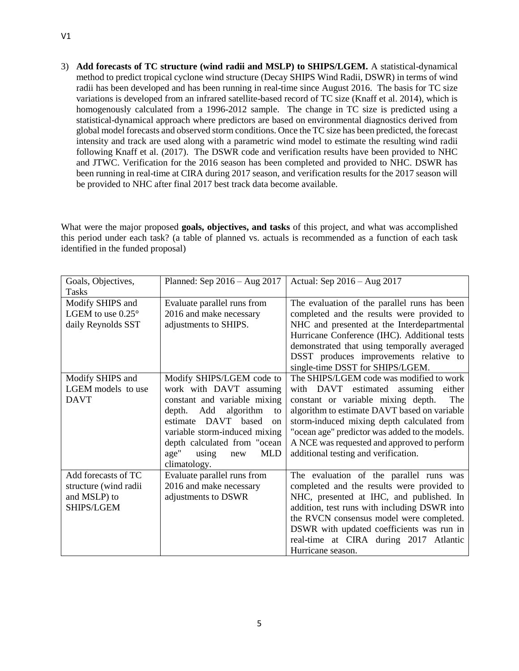3) **Add forecasts of TC structure (wind radii and MSLP) to SHIPS/LGEM.** A statistical-dynamical method to predict tropical cyclone wind structure (Decay SHIPS Wind Radii, DSWR) in terms of wind radii has been developed and has been running in real-time since August 2016. The basis for TC size variations is developed from an infrared satellite-based record of TC size (Knaff et al. 2014), which is homogenously calculated from a 1996-2012 sample. The change in TC size is predicted using a statistical-dynamical approach where predictors are based on environmental diagnostics derived from global model forecasts and observed storm conditions. Once the TC size has been predicted, the forecast intensity and track are used along with a parametric wind model to estimate the resulting wind radii following Knaff et al. (2017). The DSWR code and verification results have been provided to NHC and JTWC. Verification for the 2016 season has been completed and provided to NHC. DSWR has been running in real-time at CIRA during 2017 season, and verification results for the 2017 season will be provided to NHC after final 2017 best track data become available.

What were the major proposed **goals, objectives, and tasks** of this project, and what was accomplished this period under each task? (a table of planned vs. actuals is recommended as a function of each task identified in the funded proposal)

| Goals, Objectives,         | Planned: Sep $2016 - Aug$ $2017$   | Actual: Sep 2016 - Aug 2017                    |
|----------------------------|------------------------------------|------------------------------------------------|
| Tasks                      |                                    |                                                |
| Modify SHIPS and           | Evaluate parallel runs from        | The evaluation of the parallel runs has been   |
| LGEM to use $0.25^{\circ}$ | 2016 and make necessary            | completed and the results were provided to     |
| daily Reynolds SST         | adjustments to SHIPS.              | NHC and presented at the Interdepartmental     |
|                            |                                    | Hurricane Conference (IHC). Additional tests   |
|                            |                                    | demonstrated that using temporally averaged    |
|                            |                                    | DSST produces improvements relative to         |
|                            |                                    | single-time DSST for SHIPS/LGEM.               |
| Modify SHIPS and           | Modify SHIPS/LGEM code to          | The SHIPS/LGEM code was modified to work       |
| LGEM models to use         | work with DAVT assuming            | with DAVT estimated<br>assuming<br>either      |
| <b>DAVT</b>                | constant and variable mixing       | constant or variable mixing depth.<br>The      |
|                            | depth. Add<br>algorithm<br>to      | algorithm to estimate DAVT based on variable   |
|                            | DAVT based<br>estimate<br>$\alpha$ | storm-induced mixing depth calculated from     |
|                            | variable storm-induced mixing      | "ocean age" predictor was added to the models. |
|                            | depth calculated from "ocean       | A NCE was requested and approved to perform    |
|                            | age"<br>using<br><b>MLD</b><br>new | additional testing and verification.           |
|                            | climatology.                       |                                                |
| Add forecasts of TC        | Evaluate parallel runs from        | The evaluation of the parallel runs was        |
| structure (wind radii      | 2016 and make necessary            | completed and the results were provided to     |
| and MSLP) to               | adjustments to DSWR                | NHC, presented at IHC, and published. In       |
| SHIPS/LGEM                 |                                    | addition, test runs with including DSWR into   |
|                            |                                    | the RVCN consensus model were completed.       |
|                            |                                    | DSWR with updated coefficients was run in      |
|                            |                                    | real-time at CIRA during 2017 Atlantic         |
|                            |                                    | Hurricane season.                              |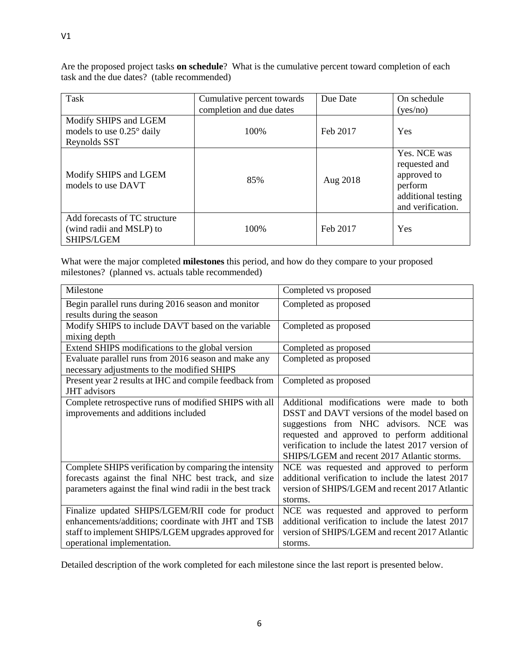Task Cumulative percent towards completion and due dates Due Date **On schedule** (yes/no) Modify SHIPS and LGEM models to use 0.25° daily Reynolds SST 100% Feb 2017 Yes Modify SHIPS and LGEM Yes. NCE was requested and approved to

100% Feb 2017 Yes

perform

additional testing and verification.

Are the proposed project tasks **on schedule**? What is the cumulative percent toward completion of each task and the due dates? (table recommended)

What were the major completed **milestones** this period, and how do they compare to your proposed milestones? (planned vs. actuals table recommended)

models to use DAVT 85% Aug 2018

| Milestone                                                                                           | Completed vs proposed                                                                                                                                                                                                                       |
|-----------------------------------------------------------------------------------------------------|---------------------------------------------------------------------------------------------------------------------------------------------------------------------------------------------------------------------------------------------|
| Begin parallel runs during 2016 season and monitor<br>results during the season                     | Completed as proposed                                                                                                                                                                                                                       |
| Modify SHIPS to include DAVT based on the variable<br>mixing depth                                  | Completed as proposed                                                                                                                                                                                                                       |
| Extend SHIPS modifications to the global version                                                    | Completed as proposed                                                                                                                                                                                                                       |
| Evaluate parallel runs from 2016 season and make any<br>necessary adjustments to the modified SHIPS | Completed as proposed                                                                                                                                                                                                                       |
| Present year 2 results at IHC and compile feedback from<br><b>JHT</b> advisors                      | Completed as proposed                                                                                                                                                                                                                       |
| Complete retrospective runs of modified SHIPS with all                                              | Additional modifications were made to both                                                                                                                                                                                                  |
| improvements and additions included                                                                 | DSST and DAVT versions of the model based on<br>suggestions from NHC advisors. NCE was<br>requested and approved to perform additional<br>verification to include the latest 2017 version of<br>SHIPS/LGEM and recent 2017 Atlantic storms. |
| Complete SHIPS verification by comparing the intensity                                              | NCE was requested and approved to perform                                                                                                                                                                                                   |
| forecasts against the final NHC best track, and size                                                | additional verification to include the latest 2017                                                                                                                                                                                          |
| parameters against the final wind radii in the best track                                           | version of SHIPS/LGEM and recent 2017 Atlantic                                                                                                                                                                                              |
|                                                                                                     | storms.                                                                                                                                                                                                                                     |
| Finalize updated SHIPS/LGEM/RII code for product                                                    | NCE was requested and approved to perform                                                                                                                                                                                                   |
| enhancements/additions; coordinate with JHT and TSB                                                 | additional verification to include the latest 2017                                                                                                                                                                                          |
| staff to implement SHIPS/LGEM upgrades approved for                                                 | version of SHIPS/LGEM and recent 2017 Atlantic                                                                                                                                                                                              |
| operational implementation.                                                                         | storms.                                                                                                                                                                                                                                     |

Detailed description of the work completed for each milestone since the last report is presented below.

Add forecasts of TC structure (wind radii and MSLP) to

SHIPS/LGEM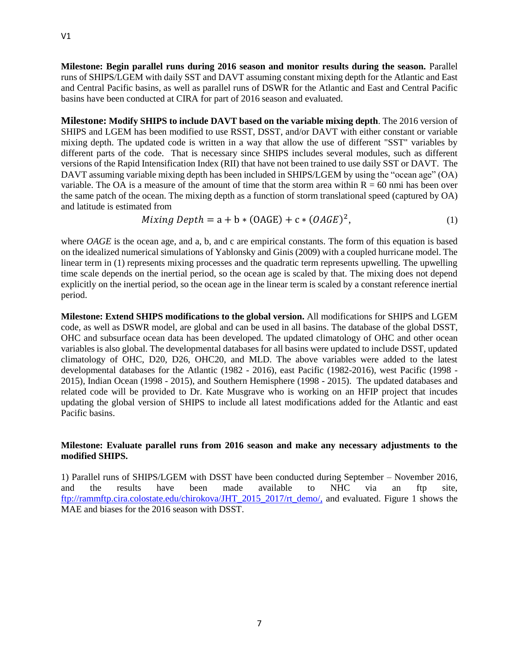**Milestone: Begin parallel runs during 2016 season and monitor results during the season.** Parallel runs of SHIPS/LGEM with daily SST and DAVT assuming constant mixing depth for the Atlantic and East and Central Pacific basins, as well as parallel runs of DSWR for the Atlantic and East and Central Pacific basins have been conducted at CIRA for part of 2016 season and evaluated.

**Milestone: Modify SHIPS to include DAVT based on the variable mixing depth**. The 2016 version of SHIPS and LGEM has been modified to use RSST, DSST, and/or DAVT with either constant or variable mixing depth. The updated code is written in a way that allow the use of different "SST" variables by different parts of the code. That is necessary since SHIPS includes several modules, such as different versions of the Rapid Intensification Index (RII) that have not been trained to use daily SST or DAVT. The DAVT assuming variable mixing depth has been included in SHIPS/LGEM by using the "ocean age" (OA) variable. The OA is a measure of the amount of time that the storm area within  $R = 60$  nmi has been over the same patch of the ocean. The mixing depth as a function of storm translational speed (captured by OA) and latitude is estimated from

$$
Mixing Depth = a + b * (OAGE) + c * (OAGE)^2,
$$
\n<sup>(1)</sup>

where *OAGE* is the ocean age, and a, b, and c are empirical constants. The form of this equation is based on the idealized numerical simulations of Yablonsky and Ginis (2009) with a coupled hurricane model. The linear term in (1) represents mixing processes and the quadratic term represents upwelling. The upwelling time scale depends on the inertial period, so the ocean age is scaled by that. The mixing does not depend explicitly on the inertial period, so the ocean age in the linear term is scaled by a constant reference inertial period.

**Milestone: Extend SHIPS modifications to the global version.** All modifications for SHIPS and LGEM code, as well as DSWR model, are global and can be used in all basins. The database of the global DSST, OHC and subsurface ocean data has been developed. The updated climatology of OHC and other ocean variables is also global. The developmental databases for all basins were updated to include DSST, updated climatology of OHC, D20, D26, OHC20, and MLD. The above variables were added to the latest developmental databases for the Atlantic (1982 - 2016), east Pacific (1982-2016), west Pacific (1998 - 2015), Indian Ocean (1998 - 2015), and Southern Hemisphere (1998 - 2015). The updated databases and related code will be provided to Dr. Kate Musgrave who is working on an HFIP project that incudes updating the global version of SHIPS to include all latest modifications added for the Atlantic and east Pacific basins.

## **Milestone: Evaluate parallel runs from 2016 season and make any necessary adjustments to the modified SHIPS.**

1) Parallel runs of SHIPS/LGEM with DSST have been conducted during September – November 2016, and the results have been made available to NHC via an ftp site, [ftp://rammftp.cira.colostate.edu/chirokova/JHT\\_2015\\_2017/rt\\_demo/,](ftp://rammftp.cira.colostate.edu/chirokova/JHT_2015_2017/rt_demo/) and evaluated. Figure 1 shows the MAE and biases for the 2016 season with DSST.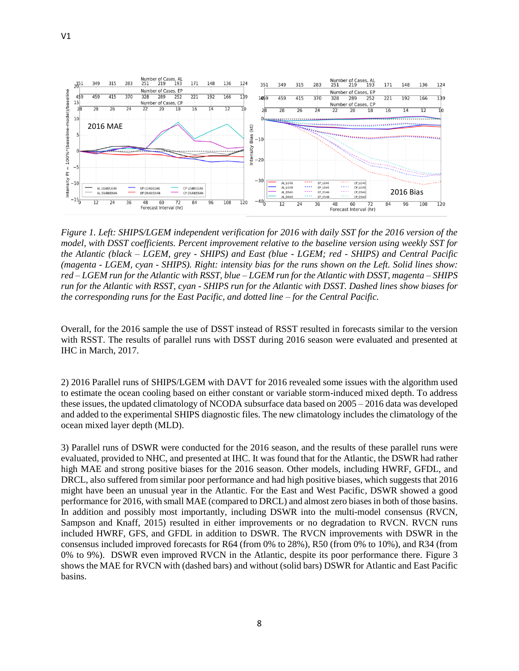

*Figure 1. Left: SHIPS/LGEM independent verification for 2016 with daily SST for the 2016 version of the model, with DSST coefficients. Percent improvement relative to the baseline version using weekly SST for the Atlantic (black – LGEM, grey - SHIPS) and East (blue - LGEM; red - SHIPS) and Central Pacific (magenta - LGEM, cyan - SHIPS). Right: intensity bias for the runs shown on the Left. Solid lines show: red – LGEM run for the Atlantic with RSST, blue – LGEM run for the Atlantic with DSST, magenta – SHIPS run for the Atlantic with RSST, cyan - SHIPS run for the Atlantic with DSST. Dashed lines show biases for the corresponding runs for the East Pacific, and dotted line – for the Central Pacific.* 

Overall, for the 2016 sample the use of DSST instead of RSST resulted in forecasts similar to the version with RSST. The results of parallel runs with DSST during 2016 season were evaluated and presented at IHC in March, 2017.

2) 2016 Parallel runs of SHIPS/LGEM with DAVT for 2016 revealed some issues with the algorithm used to estimate the ocean cooling based on either constant or variable storm-induced mixed depth. To address these issues, the updated climatology of NCODA subsurface data based on 2005 – 2016 data was developed and added to the experimental SHIPS diagnostic files. The new climatology includes the climatology of the ocean mixed layer depth (MLD).

3) Parallel runs of DSWR were conducted for the 2016 season, and the results of these parallel runs were evaluated, provided to NHC, and presented at IHC. It was found that for the Atlantic, the DSWR had rather high MAE and strong positive biases for the 2016 season. Other models, including HWRF, GFDL, and DRCL, also suffered from similar poor performance and had high positive biases, which suggests that 2016 might have been an unusual year in the Atlantic. For the East and West Pacific, DSWR showed a good performance for 2016, with small MAE (compared to DRCL) and almost zero biases in both of those basins. In addition and possibly most importantly, including DSWR into the multi-model consensus (RVCN, Sampson and Knaff, 2015) resulted in either improvements or no degradation to RVCN. RVCN runs included HWRF, GFS, and GFDL in addition to DSWR. The RVCN improvements with DSWR in the consensus included improved forecasts for R64 (from 0% to 28%), R50 (from 0% to 10%), and R34 (from 0% to 9%). DSWR even improved RVCN in the Atlantic, despite its poor performance there. Figure 3 shows the MAE for RVCN with (dashed bars) and without (solid bars) DSWR for Atlantic and East Pacific basins.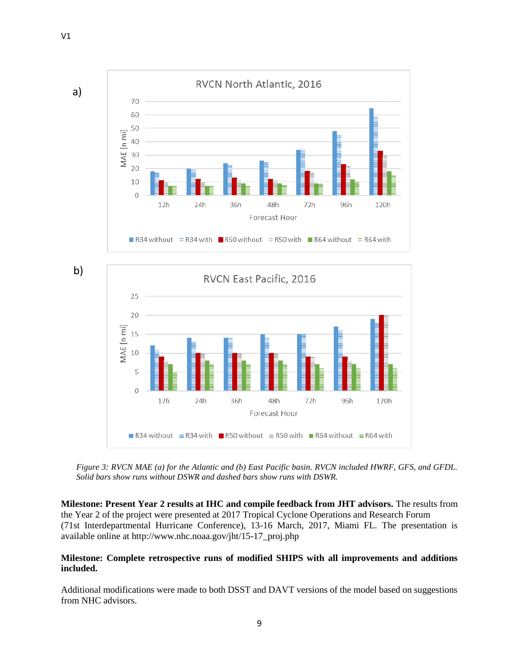

b)



*Figure 3: RVCN MAE (a) for the Atlantic and (b) East Pacific basin. RVCN included HWRF, GFS, and GFDL. Solid bars show runs without DSWR and dashed bars show runs with DSWR.* 

**Milestone: Present Year 2 results at IHC and compile feedback from JHT advisors.** The results from the Year 2 of the project were presented at 2017 Tropical Cyclone Operations and Research Forum (71st Interdepartmental Hurricane Conference), 13-16 March, 2017, Miami FL. The presentation is available online at http://www.nhc.noaa.gov/jht/15-17\_proj.php

## **Milestone: Complete retrospective runs of modified SHIPS with all improvements and additions included.**

Additional modifications were made to both DSST and DAVT versions of the model based on suggestions from NHC advisors.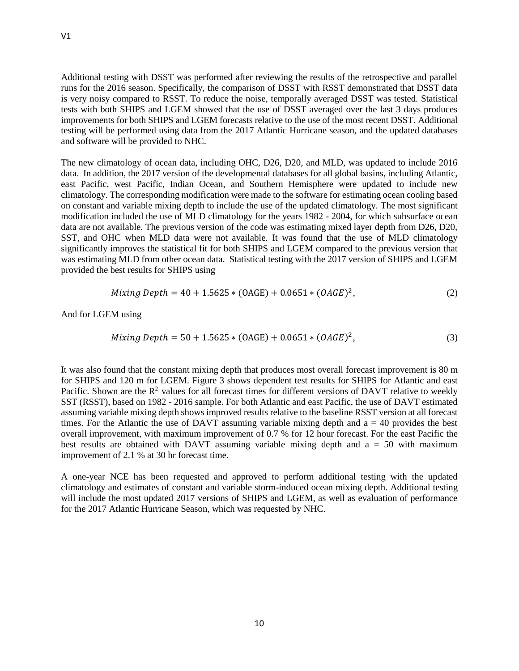Additional testing with DSST was performed after reviewing the results of the retrospective and parallel runs for the 2016 season. Specifically, the comparison of DSST with RSST demonstrated that DSST data is very noisy compared to RSST. To reduce the noise, temporally averaged DSST was tested. Statistical tests with both SHIPS and LGEM showed that the use of DSST averaged over the last 3 days produces improvements for both SHIPS and LGEM forecasts relative to the use of the most recent DSST. Additional testing will be performed using data from the 2017 Atlantic Hurricane season, and the updated databases and software will be provided to NHC.

The new climatology of ocean data, including OHC, D26, D20, and MLD, was updated to include 2016 data. In addition, the 2017 version of the developmental databases for all global basins, including Atlantic, east Pacific, west Pacific, Indian Ocean, and Southern Hemisphere were updated to include new climatology. The corresponding modification were made to the software for estimating ocean cooling based on constant and variable mixing depth to include the use of the updated climatology. The most significant modification included the use of MLD climatology for the years 1982 - 2004, for which subsurface ocean data are not available. The previous version of the code was estimating mixed layer depth from D26, D20, SST, and OHC when MLD data were not available. It was found that the use of MLD climatology significantly improves the statistical fit for both SHIPS and LGEM compared to the previous version that was estimating MLD from other ocean data. Statistical testing with the 2017 version of SHIPS and LGEM provided the best results for SHIPS using

$$
Mixing Depth = 40 + 1.5625 * (OAGE) + 0.0651 * (OAGE)^{2},
$$
\n(2)

And for LGEM using

$$
Mixing Depth = 50 + 1.5625 * (OAGE) + 0.0651 * (OAGE)^{2},
$$
\n(3)

It was also found that the constant mixing depth that produces most overall forecast improvement is 80 m for SHIPS and 120 m for LGEM. Figure 3 shows dependent test results for SHIPS for Atlantic and east Pacific. Shown are the  $R^2$  values for all forecast times for different versions of DAVT relative to weekly SST (RSST), based on 1982 - 2016 sample. For both Atlantic and east Pacific, the use of DAVT estimated assuming variable mixing depth shows improved results relative to the baseline RSST version at all forecast times. For the Atlantic the use of DAVT assuming variable mixing depth and a = 40 provides the best overall improvement, with maximum improvement of 0.7 % for 12 hour forecast. For the east Pacific the best results are obtained with DAVT assuming variable mixing depth and  $a = 50$  with maximum improvement of 2.1 % at 30 hr forecast time.

A one-year NCE has been requested and approved to perform additional testing with the updated climatology and estimates of constant and variable storm-induced ocean mixing depth. Additional testing will include the most updated 2017 versions of SHIPS and LGEM, as well as evaluation of performance for the 2017 Atlantic Hurricane Season, which was requested by NHC.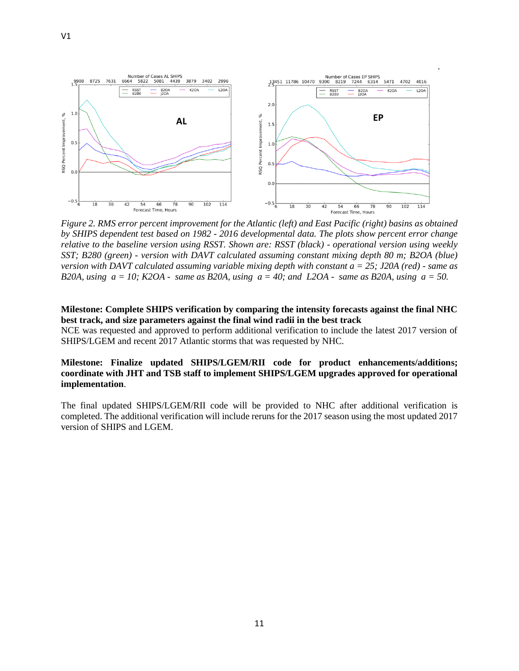

*Figure 2. RMS error percent improvement for the Atlantic (left) and East Pacific (right) basins as obtained by SHIPS dependent test based on 1982 - 2016 developmental data. The plots show percent error change relative to the baseline version using RSST. Shown are: RSST (black) - operational version using weekly SST; B280 (green) - version with DAVT calculated assuming constant mixing depth 80 m; B2OA (blue) version with DAVT calculated assuming variable mixing depth with constant a = 25; J20A (red) - same as B20A, using a = 10; K2OA - same as B20A, using a = 40; and L2OA - same as B20A, using a = 50.*

#### **Milestone: Complete SHIPS verification by comparing the intensity forecasts against the final NHC best track, and size parameters against the final wind radii in the best track**

NCE was requested and approved to perform additional verification to include the latest 2017 version of SHIPS/LGEM and recent 2017 Atlantic storms that was requested by NHC.

## **Milestone: Finalize updated SHIPS/LGEM/RII code for product enhancements/additions; coordinate with JHT and TSB staff to implement SHIPS/LGEM upgrades approved for operational implementation**.

The final updated SHIPS/LGEM/RII code will be provided to NHC after additional verification is completed. The additional verification will include reruns for the 2017 season using the most updated 2017 version of SHIPS and LGEM.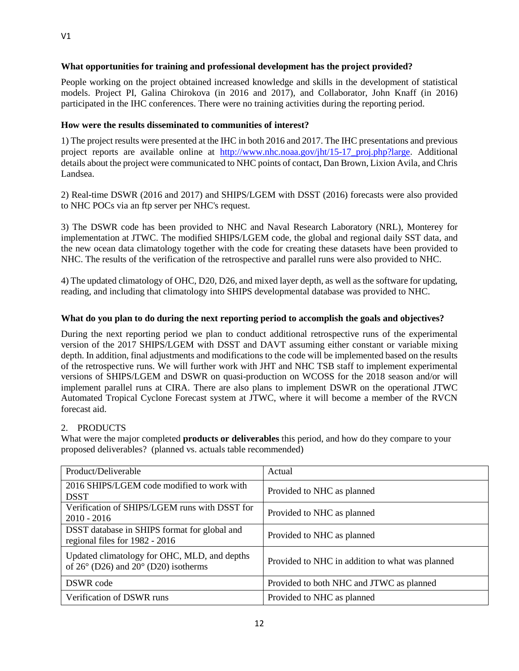## **What opportunities for training and professional development has the project provided?**

People working on the project obtained increased knowledge and skills in the development of statistical models. Project PI, Galina Chirokova (in 2016 and 2017), and Collaborator, John Knaff (in 2016) participated in the IHC conferences. There were no training activities during the reporting period.

## **How were the results disseminated to communities of interest?**

1) The project results were presented at the IHC in both 2016 and 2017. The IHC presentations and previous project reports are available online at http://www.nhc.noaa.gov/jht/15-17 proj.php?large. Additional details about the project were communicated to NHC points of contact, Dan Brown, Lixion Avila, and Chris Landsea.

2) Real-time DSWR (2016 and 2017) and SHIPS/LGEM with DSST (2016) forecasts were also provided to NHC POCs via an ftp server per NHC's request.

3) The DSWR code has been provided to NHC and Naval Research Laboratory (NRL), Monterey for implementation at JTWC. The modified SHIPS/LGEM code, the global and regional daily SST data, and the new ocean data climatology together with the code for creating these datasets have been provided to NHC. The results of the verification of the retrospective and parallel runs were also provided to NHC.

4) The updated climatology of OHC, D20, D26, and mixed layer depth, as well as the software for updating, reading, and including that climatology into SHIPS developmental database was provided to NHC.

## **What do you plan to do during the next reporting period to accomplish the goals and objectives?**

During the next reporting period we plan to conduct additional retrospective runs of the experimental version of the 2017 SHIPS/LGEM with DSST and DAVT assuming either constant or variable mixing depth. In addition, final adjustments and modifications to the code will be implemented based on the results of the retrospective runs. We will further work with JHT and NHC TSB staff to implement experimental versions of SHIPS/LGEM and DSWR on quasi-production on WCOSS for the 2018 season and/or will implement parallel runs at CIRA. There are also plans to implement DSWR on the operational JTWC Automated Tropical Cyclone Forecast system at JTWC, where it will become a member of the RVCN forecast aid.

## 2. PRODUCTS

What were the major completed **products or deliverables** this period, and how do they compare to your proposed deliverables? (planned vs. actuals table recommended)

| Product/Deliverable                                                                                    | Actual                                          |
|--------------------------------------------------------------------------------------------------------|-------------------------------------------------|
| 2016 SHIPS/LGEM code modified to work with<br><b>DSST</b>                                              | Provided to NHC as planned                      |
| Verification of SHIPS/LGEM runs with DSST for<br>$2010 - 2016$                                         | Provided to NHC as planned                      |
| DSST database in SHIPS format for global and<br>regional files for 1982 - 2016                         | Provided to NHC as planned                      |
| Updated climatology for OHC, MLD, and depths<br>of $26^{\circ}$ (D26) and $20^{\circ}$ (D20) isotherms | Provided to NHC in addition to what was planned |
| DSWR code                                                                                              | Provided to both NHC and JTWC as planned        |
| Verification of DSWR runs                                                                              | Provided to NHC as planned                      |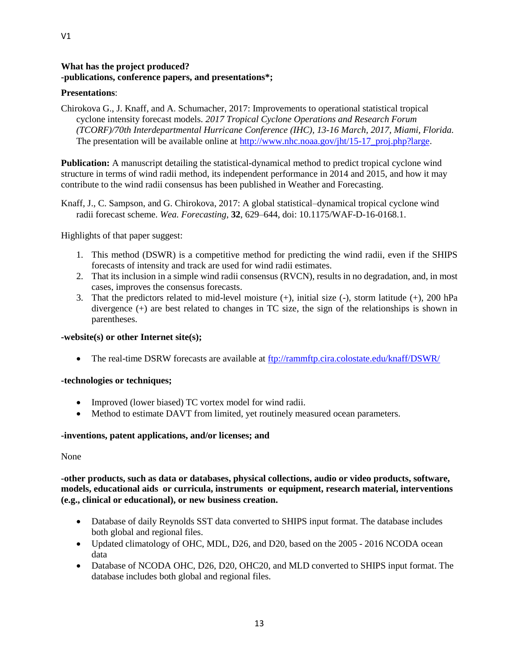## **What has the project produced? -publications, conference papers, and presentations\*;**

## **Presentations**:

Chirokova G., J. Knaff, and A. Schumacher, 2017: Improvements to operational statistical tropical cyclone intensity forecast models. *2017 Tropical Cyclone Operations and Research Forum (TCORF)/70th Interdepartmental Hurricane Conference (IHC), 13-16 March, 2017, Miami, Florida.* The presentation will be available online at http://www.nhc.noaa.gov/iht/15-17\_proj.php?large.

**Publication:** A manuscript detailing the statistical-dynamical method to predict tropical cyclone wind structure in terms of wind radii method, its independent performance in 2014 and 2015, and how it may contribute to the wind radii consensus has been published in Weather and Forecasting.

Knaff, J., C. Sampson, and G. Chirokova, 2017: A global statistical–dynamical tropical cyclone wind radii forecast scheme. *Wea. Forecasting*, **32**, 629–644, doi: 10.1175/WAF-D-16-0168.1.

Highlights of that paper suggest:

- 1. This method (DSWR) is a competitive method for predicting the wind radii, even if the SHIPS forecasts of intensity and track are used for wind radii estimates.
- 2. That its inclusion in a simple wind radii consensus (RVCN), results in no degradation, and, in most cases, improves the consensus forecasts.
- 3. That the predictors related to mid-level moisture (+), initial size (-), storm latitude (+), 200 hPa divergence (+) are best related to changes in TC size, the sign of the relationships is shown in parentheses.

## **-website(s) or other Internet site(s);**

• The real-time DSRW forecasts are available at<ftp://rammftp.cira.colostate.edu/knaff/DSWR/>

## **-technologies or techniques;**

- Improved (lower biased) TC vortex model for wind radii.
- Method to estimate DAVT from limited, yet routinely measured ocean parameters.

## **-inventions, patent applications, and/or licenses; and**

None

## **-other products, such as data or databases, physical collections, audio or video products, software, models, educational aids or curricula, instruments or equipment, research material, interventions (e.g., clinical or educational), or new business creation.**

- Database of daily Reynolds SST data converted to SHIPS input format. The database includes both global and regional files.
- Updated climatology of OHC, MDL, D26, and D20, based on the 2005 2016 NCODA ocean data
- Database of NCODA OHC, D26, D20, OHC20, and MLD converted to SHIPS input format. The database includes both global and regional files.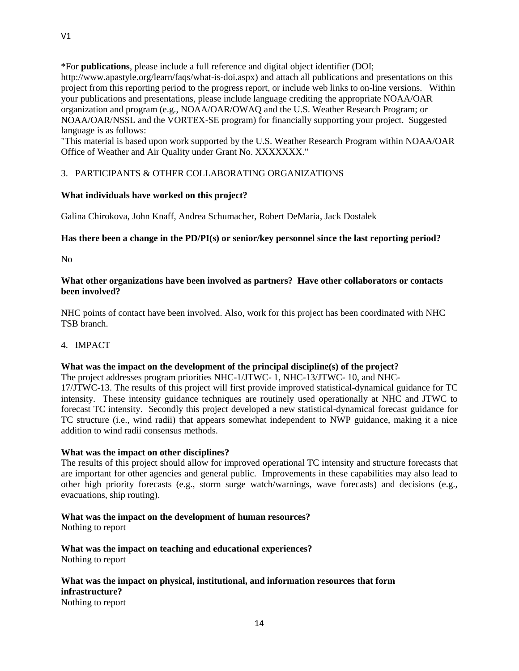\*For **publications**, please include a full reference and digital object identifier (DOI; http://www.apastyle.org/learn/faqs/what-is-doi.aspx) and attach all publications and presentations on this project from this reporting period to the progress report, or include web links to on-line versions. Within your publications and presentations, please include language crediting the appropriate NOAA/OAR organization and program (e.g., NOAA/OAR/OWAQ and the U.S. Weather Research Program; or NOAA/OAR/NSSL and the VORTEX-SE program) for financially supporting your project. Suggested language is as follows:

"This material is based upon work supported by the U.S. Weather Research Program within NOAA/OAR Office of Weather and Air Quality under Grant No. XXXXXXX."

## 3. PARTICIPANTS & OTHER COLLABORATING ORGANIZATIONS

## **What individuals have worked on this project?**

Galina Chirokova, John Knaff, Andrea Schumacher, Robert DeMaria, Jack Dostalek

## **Has there been a change in the PD/PI(s) or senior/key personnel since the last reporting period?**

No

## **What other organizations have been involved as partners? Have other collaborators or contacts been involved?**

NHC points of contact have been involved. Also, work for this project has been coordinated with NHC TSB branch.

4. IMPACT

## **What was the impact on the development of the principal discipline(s) of the project?**

The project addresses program priorities NHC-1/JTWC- 1, NHC-13/JTWC- 10, and NHC-17/JTWC-13. The results of this project will first provide improved statistical-dynamical guidance for TC intensity. These intensity guidance techniques are routinely used operationally at NHC and JTWC to forecast TC intensity. Secondly this project developed a new statistical-dynamical forecast guidance for TC structure (i.e., wind radii) that appears somewhat independent to NWP guidance, making it a nice addition to wind radii consensus methods.

## **What was the impact on other disciplines?**

The results of this project should allow for improved operational TC intensity and structure forecasts that are important for other agencies and general public. Improvements in these capabilities may also lead to other high priority forecasts (e.g., storm surge watch/warnings, wave forecasts) and decisions (e.g., evacuations, ship routing).

## **What was the impact on the development of human resources?**

Nothing to report

**What was the impact on teaching and educational experiences?** Nothing to report

#### **What was the impact on physical, institutional, and information resources that form infrastructure?** Nothing to report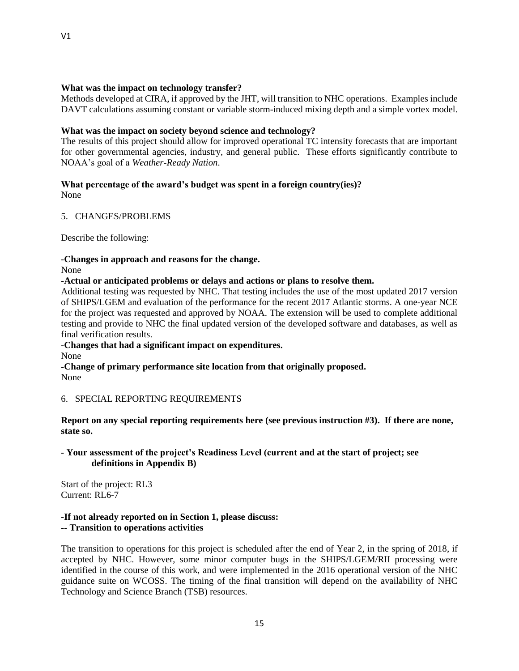## **What was the impact on technology transfer?**

Methods developed at CIRA, if approved by the JHT, will transition to NHC operations. Examples include DAVT calculations assuming constant or variable storm-induced mixing depth and a simple vortex model.

#### **What was the impact on society beyond science and technology?**

The results of this project should allow for improved operational TC intensity forecasts that are important for other governmental agencies, industry, and general public. These efforts significantly contribute to NOAA's goal of a *Weather-Ready Nation*.

# **What percentage of the award's budget was spent in a foreign country(ies)?**

None

## 5. CHANGES/PROBLEMS

Describe the following:

#### **-Changes in approach and reasons for the change.**

None

**-Actual or anticipated problems or delays and actions or plans to resolve them.**

Additional testing was requested by NHC. That testing includes the use of the most updated 2017 version of SHIPS/LGEM and evaluation of the performance for the recent 2017 Atlantic storms. A one-year NCE for the project was requested and approved by NOAA. The extension will be used to complete additional testing and provide to NHC the final updated version of the developed software and databases, as well as final verification results.

## **-Changes that had a significant impact on expenditures.**

None

**-Change of primary performance site location from that originally proposed.** None

## 6. SPECIAL REPORTING REQUIREMENTS

**Report on any special reporting requirements here (see previous instruction #3). If there are none, state so.**

## **- Your assessment of the project's Readiness Level (current and at the start of project; see definitions in Appendix B)**

Start of the project: RL3 Current: RL6-7

#### **-If not already reported on in Section 1, please discuss: -- Transition to operations activities**

The transition to operations for this project is scheduled after the end of Year 2, in the spring of 2018, if accepted by NHC. However, some minor computer bugs in the SHIPS/LGEM/RII processing were identified in the course of this work, and were implemented in the 2016 operational version of the NHC guidance suite on WCOSS. The timing of the final transition will depend on the availability of NHC Technology and Science Branch (TSB) resources.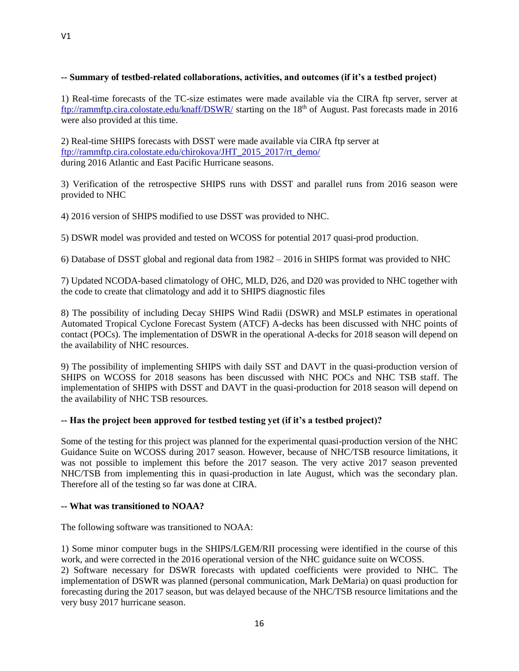## **-- Summary of testbed-related collaborations, activities, and outcomes (if it's a testbed project)**

1) Real-time forecasts of the TC-size estimates were made available via the CIRA ftp server, server at <ftp://rammftp.cira.colostate.edu/knaff/DSWR/> starting on the 18<sup>th</sup> of August. Past forecasts made in 2016 were also provided at this time.

2) Real-time SHIPS forecasts with DSST were made available via CIRA ftp server at [ftp://rammftp.cira.colostate.edu/chirokova/JHT\\_2015\\_2017/rt\\_demo/](ftp://rammftp.cira.colostate.edu/chirokova/JHT_2015_2017/rt_demo/) during 2016 Atlantic and East Pacific Hurricane seasons.

3) Verification of the retrospective SHIPS runs with DSST and parallel runs from 2016 season were provided to NHC

4) 2016 version of SHIPS modified to use DSST was provided to NHC.

5) DSWR model was provided and tested on WCOSS for potential 2017 quasi-prod production.

6) Database of DSST global and regional data from 1982 – 2016 in SHIPS format was provided to NHC

7) Updated NCODA-based climatology of OHC, MLD, D26, and D20 was provided to NHC together with the code to create that climatology and add it to SHIPS diagnostic files

8) The possibility of including Decay SHIPS Wind Radii (DSWR) and MSLP estimates in operational Automated Tropical Cyclone Forecast System (ATCF) A-decks has been discussed with NHC points of contact (POCs). The implementation of DSWR in the operational A-decks for 2018 season will depend on the availability of NHC resources.

9) The possibility of implementing SHIPS with daily SST and DAVT in the quasi-production version of SHIPS on WCOSS for 2018 seasons has been discussed with NHC POCs and NHC TSB staff. The implementation of SHIPS with DSST and DAVT in the quasi-production for 2018 season will depend on the availability of NHC TSB resources.

## **-- Has the project been approved for testbed testing yet (if it's a testbed project)?**

Some of the testing for this project was planned for the experimental quasi-production version of the NHC Guidance Suite on WCOSS during 2017 season. However, because of NHC/TSB resource limitations, it was not possible to implement this before the 2017 season. The very active 2017 season prevented NHC/TSB from implementing this in quasi-production in late August, which was the secondary plan. Therefore all of the testing so far was done at CIRA.

## **-- What was transitioned to NOAA?**

The following software was transitioned to NOAA:

1) Some minor computer bugs in the SHIPS/LGEM/RII processing were identified in the course of this work, and were corrected in the 2016 operational version of the NHC guidance suite on WCOSS.

2) Software necessary for DSWR forecasts with updated coefficients were provided to NHC. The implementation of DSWR was planned (personal communication, Mark DeMaria) on quasi production for forecasting during the 2017 season, but was delayed because of the NHC/TSB resource limitations and the very busy 2017 hurricane season.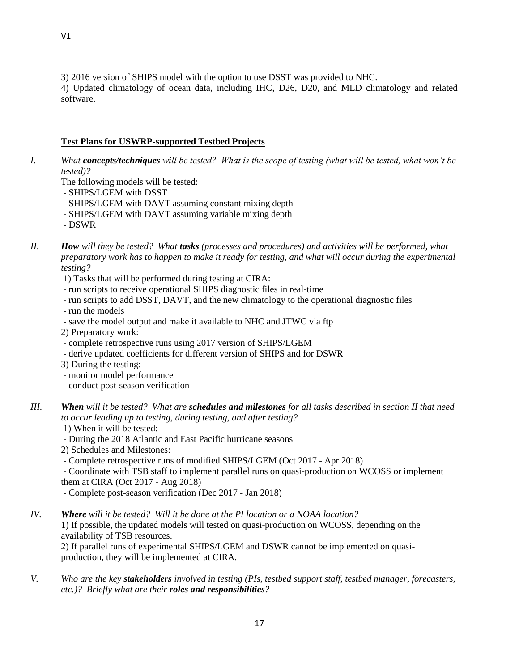4) Updated climatology of ocean data, including IHC, D26, D20, and MLD climatology and related software.

## **Test Plans for USWRP-supported Testbed Projects**

- *I. What concepts/techniques will be tested? What is the scope of testing (what will be tested, what won't be tested)?*
	- The following models will be tested:
	- SHIPS/LGEM with DSST
	- SHIPS/LGEM with DAVT assuming constant mixing depth
	- SHIPS/LGEM with DAVT assuming variable mixing depth
	- DSWR
- *II. How will they be tested? What tasks (processes and procedures) and activities will be performed, what preparatory work has to happen to make it ready for testing, and what will occur during the experimental testing?*
	- 1) Tasks that will be performed during testing at CIRA:
	- run scripts to receive operational SHIPS diagnostic files in real-time
	- run scripts to add DSST, DAVT, and the new climatology to the operational diagnostic files
	- run the models
	- save the model output and make it available to NHC and JTWC via ftp
	- 2) Preparatory work:
	- complete retrospective runs using 2017 version of SHIPS/LGEM
	- derive updated coefficients for different version of SHIPS and for DSWR
	- 3) During the testing:
	- monitor model performance
	- conduct post-season verification
- *III. When will it be tested? What are schedules and milestones for all tasks described in section II that need to occur leading up to testing, during testing, and after testing?* 
	- 1) When it will be tested:
	- During the 2018 Atlantic and East Pacific hurricane seasons
	- 2) Schedules and Milestones:
	- Complete retrospective runs of modified SHIPS/LGEM (Oct 2017 Apr 2018)

- Coordinate with TSB staff to implement parallel runs on quasi-production on WCOSS or implement them at CIRA (Oct 2017 - Aug 2018)

- Complete post-season verification (Dec 2017 Jan 2018)
- *IV. Where will it be tested? Will it be done at the PI location or a NOAA location?*

1) If possible, the updated models will tested on quasi-production on WCOSS, depending on the availability of TSB resources.

2) If parallel runs of experimental SHIPS/LGEM and DSWR cannot be implemented on quasiproduction, they will be implemented at CIRA.

*V. Who are the key stakeholders involved in testing (PIs, testbed support staff, testbed manager, forecasters, etc.)? Briefly what are their roles and responsibilities?*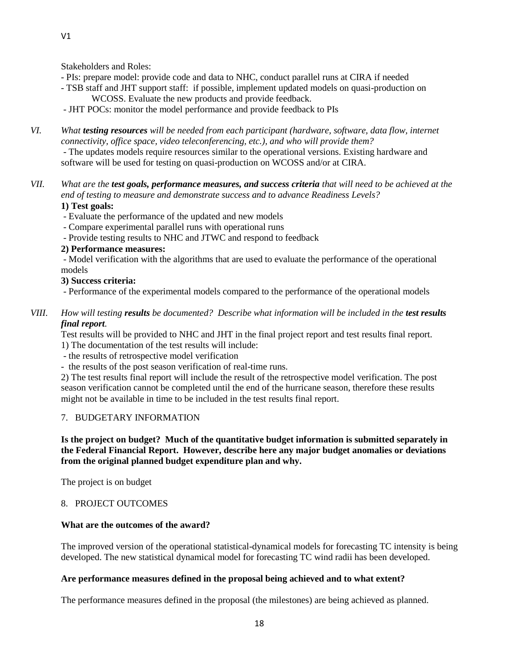Stakeholders and Roles:

- PIs: prepare model: provide code and data to NHC, conduct parallel runs at CIRA if needed
- TSB staff and JHT support staff: if possible, implement updated models on quasi-production on WCOSS. Evaluate the new products and provide feedback.

- JHT POCs: monitor the model performance and provide feedback to PIs

- *VI. What testing resources will be needed from each participant (hardware, software, data flow, internet connectivity, office space, video teleconferencing, etc.), and who will provide them?*  - The updates models require resources similar to the operational versions. Existing hardware and software will be used for testing on quasi-production on WCOSS and/or at CIRA.
- *VII. What are the test goals, performance measures, and success criteria that will need to be achieved at the end of testing to measure and demonstrate success and to advance Readiness Levels?*

# **1) Test goals:**

- Evaluate the performance of the updated and new models
- Compare experimental parallel runs with operational runs
- Provide testing results to NHC and JTWC and respond to feedback

## **2) Performance measures:**

- Model verification with the algorithms that are used to evaluate the performance of the operational models

## **3) Success criteria:**

- Performance of the experimental models compared to the performance of the operational models

*VIII. How will testing results be documented? Describe what information will be included in the test results final report.*

Test results will be provided to NHC and JHT in the final project report and test results final report. 1) The documentation of the test results will include:

- the results of retrospective model verification
- the results of the post season verification of real-time runs.

2) The test results final report will include the result of the retrospective model verification. The post season verification cannot be completed until the end of the hurricane season, therefore these results might not be available in time to be included in the test results final report.

## 7. BUDGETARY INFORMATION

## **Is the project on budget? Much of the quantitative budget information is submitted separately in the Federal Financial Report. However, describe here any major budget anomalies or deviations from the original planned budget expenditure plan and why.**

The project is on budget

## 8. PROJECT OUTCOMES

## **What are the outcomes of the award?**

The improved version of the operational statistical-dynamical models for forecasting TC intensity is being developed. The new statistical dynamical model for forecasting TC wind radii has been developed.

## **Are performance measures defined in the proposal being achieved and to what extent?**

The performance measures defined in the proposal (the milestones) are being achieved as planned.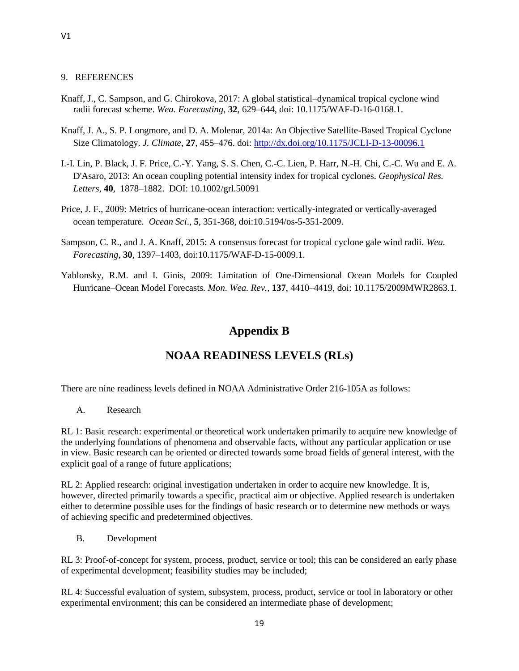#### 9. REFERENCES

- Knaff, J., C. Sampson, and G. Chirokova, 2017: A global statistical–dynamical tropical cyclone wind radii forecast scheme. *Wea. Forecasting*, **32**, 629–644, doi: 10.1175/WAF-D-16-0168.1.
- Knaff, J. A., S. P. Longmore, and D. A. Molenar, 2014a: An Objective Satellite-Based Tropical Cyclone Size Climatology. *J. Climate*, **27**, 455–476. doi[: http://dx.doi.org/10.1175/JCLI-D-13-00096.1](http://dx.doi.org/10.1175/JCLI-D-13-00096.1)
- I.-I. Lin, P. Black, J. F. Price, C.-Y. Yang, S. S. Chen, C.-C. Lien, P. Harr, N.-H. Chi, C.-C. Wu and E. A. D'Asaro, 2013: An ocean coupling potential intensity index for tropical cyclones. *Geophysical Res. Letters*, **40**, 1878–1882. DOI: 10.1002/grl.50091
- Price, J. F., 2009: Metrics of hurricane-ocean interaction: vertically-integrated or vertically-averaged ocean temperature*. Ocean Sci*., **5**, 351-368, doi:10.5194/os-5-351-2009.
- Sampson, C. R., and J. A. Knaff, 2015: A consensus forecast for tropical cyclone gale wind radii. *Wea. Forecasting*, **30**, 1397–1403, doi:10.1175/WAF-D-15-0009.1.
- Yablonsky, R.M. and I. Ginis, 2009: Limitation of One-Dimensional Ocean Models for Coupled Hurricane–Ocean Model Forecasts*. Mon. Wea. Rev.,* **137**, 4410–4419, doi: 10.1175/2009MWR2863.1.

# **Appendix B**

# **NOAA READINESS LEVELS (RLs)**

There are nine readiness levels defined in NOAA Administrative Order 216-105A as follows:

A. Research

RL 1: Basic research: experimental or theoretical work undertaken primarily to acquire new knowledge of the underlying foundations of phenomena and observable facts, without any particular application or use in view. Basic research can be oriented or directed towards some broad fields of general interest, with the explicit goal of a range of future applications;

RL 2: Applied research: original investigation undertaken in order to acquire new knowledge. It is, however, directed primarily towards a specific, practical aim or objective. Applied research is undertaken either to determine possible uses for the findings of basic research or to determine new methods or ways of achieving specific and predetermined objectives.

B. Development

RL 3: Proof-of-concept for system, process, product, service or tool; this can be considered an early phase of experimental development; feasibility studies may be included;

RL 4: Successful evaluation of system, subsystem, process, product, service or tool in laboratory or other experimental environment; this can be considered an intermediate phase of development;

V1